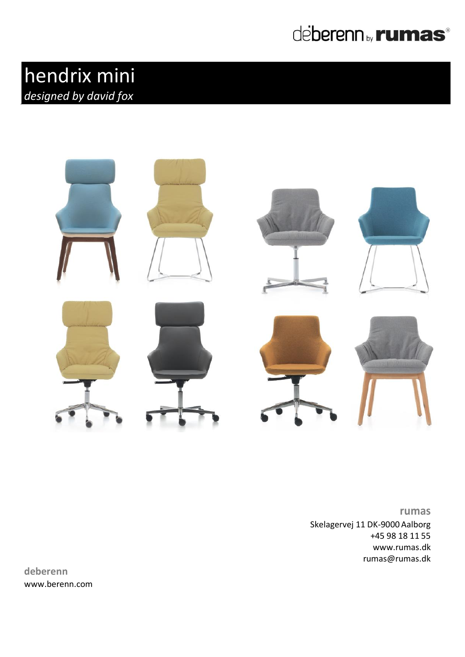

## hendrix mini *designed by david fox*



**rumas** Skelagervej 11 DK-9000 Aalborg +45 98 18 11 55 www.rumas.dk [rumas@rumas.dk](mailto:rumas@rumas.dk)

**deberenn** www.berenn.com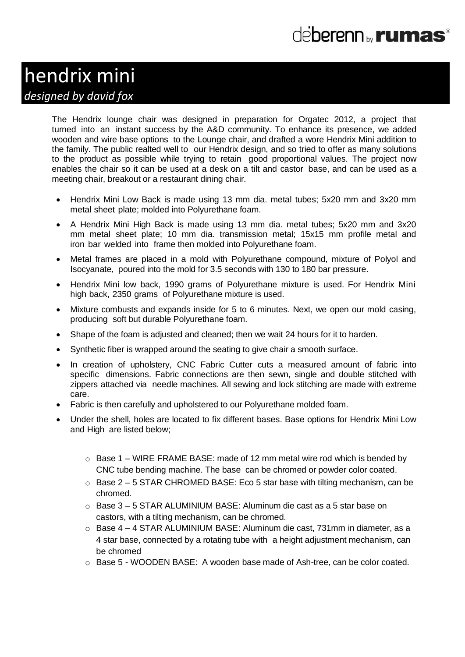### hendrix mini *designed by david fox*

The Hendrix lounge chair was designed in preparation for Orgatec 2012, a project that turned into an instant success by the A&D community. To enhance its presence, we added wooden and wire base options to the Lounge chair, and drafted a wore Hendrix Mini addition to the family. The public realted well to our Hendrix design, and so tried to offer as many solutions to the product as possible while trying to retain good proportional values. The project now enables the chair so it can be used at a desk on a tilt and castor base, and can be used as a meeting chair, breakout or a restaurant dining chair.

- Hendrix Mini Low Back is made using 13 mm dia. metal tubes; 5x20 mm and 3x20 mm metal sheet plate; molded into Polyurethane foam.
- A Hendrix Mini High Back is made using 13 mm dia. metal tubes; 5x20 mm and 3x20 mm metal sheet plate; 10 mm dia. transmission metal; 15x15 mm profile metal and iron bar welded into frame then molded into Polyurethane foam.
- Metal frames are placed in a mold with Polyurethane compound, mixture of Polyol and Isocyanate, poured into the mold for 3.5 seconds with 130 to 180 bar pressure.
- Hendrix Mini low back, 1990 grams of Polyurethane mixture is used. For Hendrix Mini high back, 2350 grams of Polyurethane mixture is used.
- Mixture combusts and expands inside for 5 to 6 minutes. Next, we open our mold casing, producing soft but durable Polyurethane foam.
- Shape of the foam is adjusted and cleaned; then we wait 24 hours for it to harden.
- Synthetic fiber is wrapped around the seating to give chair a smooth surface.
- In creation of upholstery, CNC Fabric Cutter cuts a measured amount of fabric into specific dimensions. Fabric connections are then sewn, single and double stitched with zippers attached via needle machines. All sewing and lock stitching are made with extreme care.
- Fabric is then carefully and upholstered to our Polyurethane molded foam.
- Under the shell, holes are located to fix different bases. Base options for Hendrix Mini Low and High are listed below;
	- $\circ$  Base 1 WIRE FRAME BASE: made of 12 mm metal wire rod which is bended by CNC tube bending machine. The base can be chromed or powder color coated.
	- $\circ$  Base 2 5 STAR CHROMED BASE: Eco 5 star base with tilting mechanism, can be chromed.
	- $\circ$  Base 3 5 STAR ALUMINIUM BASE: Aluminum die cast as a 5 star base on castors, with a tilting mechanism, can be chromed.
	- o Base 4 4 STAR ALUMINIUM BASE: Aluminum die cast, 731mm in diameter, as a 4 star base, connected by a rotating tube with a height adjustment mechanism, can be chromed
	- o Base 5 WOODEN BASE: A wooden base made of Ash-tree, can be color coated.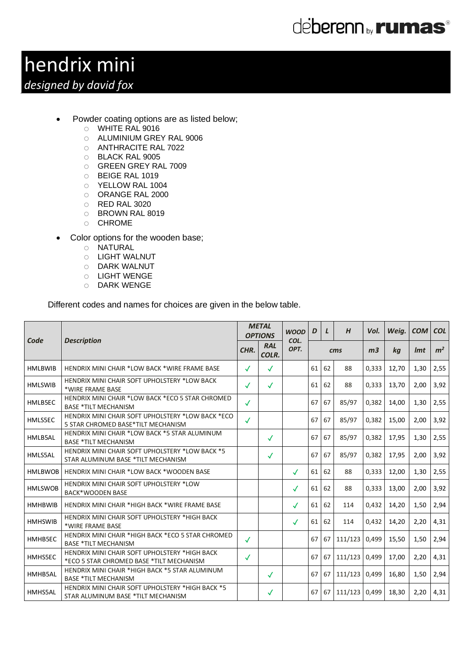## deberenn by **rumas**®

# hendrix mini

### *designed by david fox*

- Powder coating options are as listed below;
	- o WHITE RAL 9016
	- o ALUMINIUM GREY RAL 9006
	- o ANTHRACITE RAL 7022
	- o BLACK RAL 9005
	- o GREEN GREY RAL 7009
	- o BEIGE RAL 1019
	- o YELLOW RAL 1004
	- o ORANGE RAL 2000
	- o RED RAL 3020
	- o BROWN RAL 8019
	- o CHROME
- Color options for the wooden base;
	- o NATURAL
	- o LIGHT WALNUT
	- o DARK WALNUT
	- o LIGHT WENGE
	- o DARK WENGE

Different codes and names for choices are given in the below table.

| Code           | <b>Description</b>                                                                        | <b>METAL</b><br><b>OPTIONS</b> |                     | <b>WOOD</b><br>COL. | D  | $\mathbf{L}$ | H               | Vol.           | Weig. | <b>COM</b> | <b>COL</b>     |
|----------------|-------------------------------------------------------------------------------------------|--------------------------------|---------------------|---------------------|----|--------------|-----------------|----------------|-------|------------|----------------|
|                |                                                                                           | CHR.                           | <b>RAL</b><br>COLR. | OPT.                |    |              | $\mathbf{cm}$ s | m <sub>3</sub> | kg    | <i>Imt</i> | m <sup>2</sup> |
| <b>HMLBWIB</b> | <b>HENDRIX MINI CHAIR *LOW BACK *WIRE FRAME BASE</b>                                      | $\checkmark$                   | $\checkmark$        |                     | 61 | 62           | 88              | 0,333          | 12,70 | 1,30       | 2,55           |
| <b>HMLSWIB</b> | HENDRIX MINI CHAIR SOFT UPHOLSTERY *LOW BACK<br>*WIRE FRAME BASE                          | $\checkmark$                   | √                   |                     | 61 | 62           | 88              | 0,333          | 13,70 | 2,00       | 3,92           |
| HMLB5EC        | HENDRIX MINI CHAIR *LOW BACK *ECO 5 STAR CHROMED<br><b>BASE *TILT MECHANISM</b>           | $\checkmark$                   |                     |                     | 67 | 67           | 85/97           | 0,382          | 14,00 | 1,30       | 2,55           |
| HMLS5EC        | HENDRIX MINI CHAIR SOFT UPHOLSTERY *LOW BACK *ECO<br>5 STAR CHROMED BASE*TILT MECHANISM   | $\checkmark$                   |                     |                     | 67 | 67           | 85/97           | 0.382          | 15.00 | 2.00       | 3,92           |
| HMLB5AL        | HENDRIX MINI CHAIR *LOW BACK *5 STAR ALUMINUM<br><b>BASE *TILT MECHANISM</b>              |                                | √                   |                     | 67 | 67           | 85/97           | 0,382          | 17,95 | 1,30       | 2,55           |
| HMLS5AL        | HENDRIX MINI CHAIR SOFT UPHOLSTERY *LOW BACK *5<br>STAR ALUMINUM BASE *TILT MECHANISM     |                                | $\checkmark$        |                     | 67 | 67           | 85/97           | 0,382          | 17,95 | 2,00       | 3,92           |
| <b>HMLBWOB</b> | <b>HENDRIX MINI CHAIR *LOW BACK *WOODEN BASE</b>                                          |                                |                     | $\checkmark$        | 61 | 62           | 88              | 0,333          | 12,00 | 1,30       | 2,55           |
| <b>HMLSWOB</b> | HENDRIX MINI CHAIR SOFT UPHOLSTERY *LOW<br><b>BACK*WOODEN BASE</b>                        |                                |                     | $\checkmark$        | 61 | 62           | 88              | 0,333          | 13,00 | 2,00       | 3,92           |
| <b>HMHBWIB</b> | HENDRIX MINI CHAIR *HIGH BACK *WIRE FRAME BASE                                            |                                |                     | $\checkmark$        | 61 | 62           | 114             | 0.432          | 14,20 | 1,50       | 2,94           |
| <b>HMHSWIB</b> | HENDRIX MINI CHAIR SOFT UPHOLSTERY *HIGH BACK<br>*WIRE FRAME BASE                         |                                |                     | $\checkmark$        | 61 | 62           | 114             | 0.432          | 14,20 | 2,20       | 4,31           |
| HMHB5EC        | HENDRIX MINI CHAIR *HIGH BACK *ECO 5 STAR CHROMED<br><b>BASE *TILT MECHANISM</b>          | $\checkmark$                   |                     |                     | 67 | 67           | 111/123         | 0,499          | 15,50 | 1,50       | 2,94           |
| HMHS5EC        | HENDRIX MINI CHAIR SOFT UPHOLSTERY *HIGH BACK<br>*ECO 5 STAR CHROMED BASE *TILT MECHANISM | ✓                              |                     |                     | 67 | 67           | 111/123 0,499   |                | 17,00 | 2,20       | 4,31           |
| HMHB5AL        | HENDRIX MINI CHAIR *HIGH BACK *5 STAR ALUMINUM<br><b>BASE *TILT MECHANISM</b>             |                                | $\checkmark$        |                     | 67 | 67           | 111/123         | 0,499          | 16,80 | 1,50       | 2,94           |
| HMHS5AL        | HENDRIX MINI CHAIR SOFT UPHOLSTERY *HIGH BACK *5<br>STAR ALUMINUM BASE *TILT MECHANISM    |                                | ✓                   |                     | 67 | 67           | 111/123 0.499   |                | 18,30 | 2,20       | 4,31           |